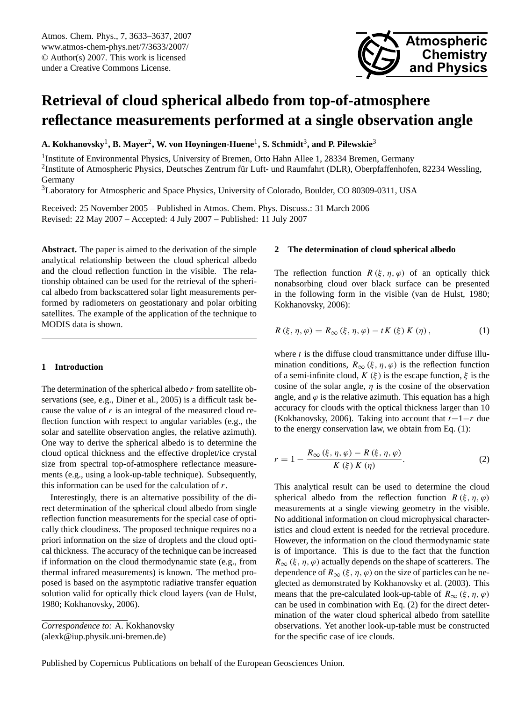<span id="page-0-0"></span>Atmos. Chem. Phys., 7, 3633–3637, 2007 www.atmos-chem-phys.net/7/3633/2007/ © Author(s) 2007. This work is licensed under a Creative Commons License.



# **Retrieval of cloud spherical albedo from top-of-atmosphere reflectance measurements performed at a single observation angle**

**A. Kokhanovsky**<sup>1</sup> **, B. Mayer**<sup>2</sup> **, W. von Hoyningen-Huene**<sup>1</sup> **, S. Schmidt**<sup>3</sup> **, and P. Pilewskie**<sup>3</sup>

<sup>1</sup> Institute of Environmental Physics, University of Bremen, Otto Hahn Allee 1, 28334 Bremen, Germany <sup>2</sup>Institute of Atmospheric Physics, Deutsches Zentrum für Luft- und Raumfahrt (DLR), Oberpfaffenhofen, 82234 Wessling, Germany

<sup>3</sup>Laboratory for Atmospheric and Space Physics, University of Colorado, Boulder, CO 80309-0311, USA

Received: 25 November 2005 – Published in Atmos. Chem. Phys. Discuss.: 31 March 2006 Revised: 22 May 2007 – Accepted: 4 July 2007 – Published: 11 July 2007

**Abstract.** The paper is aimed to the derivation of the simple analytical relationship between the cloud spherical albedo and the cloud reflection function in the visible. The relationship obtained can be used for the retrieval of the spherical albedo from backscattered solar light measurements performed by radiometers on geostationary and polar orbiting satellites. The example of the application of the technique to MODIS data is shown.

## **1 Introduction**

The determination of the spherical albedo  $r$  from satellite observations (see, e.g., Diner et al., 2005) is a difficult task because the value of  $r$  is an integral of the measured cloud reflection function with respect to angular variables (e.g., the solar and satellite observation angles, the relative azimuth). One way to derive the spherical albedo is to determine the cloud optical thickness and the effective droplet/ice crystal size from spectral top-of-atmosphere reflectance measurements (e.g., using a look-up-table technique). Subsequently, this information can be used for the calculation of  $r$ .

Interestingly, there is an alternative possibility of the direct determination of the spherical cloud albedo from single reflection function measurements for the special case of optically thick cloudiness. The proposed technique requires no a priori information on the size of droplets and the cloud optical thickness. The accuracy of the technique can be increased if information on the cloud thermodynamic state (e.g., from thermal infrared measurements) is known. The method proposed is based on the asymptotic radiative transfer equation solution valid for optically thick cloud layers (van de Hulst, 1980; Kokhanovsky, 2006).

### **2 The determination of cloud spherical albedo**

The reflection function  $R(\xi, \eta, \varphi)$  of an optically thick nonabsorbing cloud over black surface can be presented in the following form in the visible (van de Hulst, 1980; Kokhanovsky, 2006):

$$
R(\xi, \eta, \varphi) = R_{\infty}(\xi, \eta, \varphi) - tK(\xi) K(\eta),
$$
 (1)

where  $t$  is the diffuse cloud transmittance under diffuse illumination conditions,  $R_{\infty}(\xi, \eta, \varphi)$  is the reflection function of a semi-infinite cloud,  $K(\xi)$  is the escape function,  $\xi$  is the cosine of the solar angle,  $\eta$  is the cosine of the observation angle, and  $\varphi$  is the relative azimuth. This equation has a high accuracy for clouds with the optical thickness larger than 10 (Kokhanovsky, 2006). Taking into account that  $t=1-r$  due to the energy conservation law, we obtain from Eq. (1):

$$
r = 1 - \frac{R_{\infty}(\xi, \eta, \varphi) - R(\xi, \eta, \varphi)}{K(\xi) K(\eta)}.
$$
 (2)

This analytical result can be used to determine the cloud spherical albedo from the reflection function  $R(\xi, \eta, \varphi)$ measurements at a single viewing geometry in the visible. No additional information on cloud microphysical characteristics and cloud extent is needed for the retrieval procedure. However, the information on the cloud thermodynamic state is of importance. This is due to the fact that the function  $R_{\infty}$  (ξ, η,  $\varphi$ ) actually depends on the shape of scatterers. The dependence of  $R_{\infty}(\xi, \eta, \varphi)$  on the size of particles can be neglected as demonstrated by Kokhanovsky et al. (2003). This means that the pre-calculated look-up-table of  $R_{\infty}(\xi, \eta, \varphi)$ can be used in combination with Eq. (2) for the direct determination of the water cloud spherical albedo from satellite observations. Yet another look-up-table must be constructed for the specific case of ice clouds.

*Correspondence to:* A. Kokhanovsky (alexk@iup.physik.uni-bremen.de)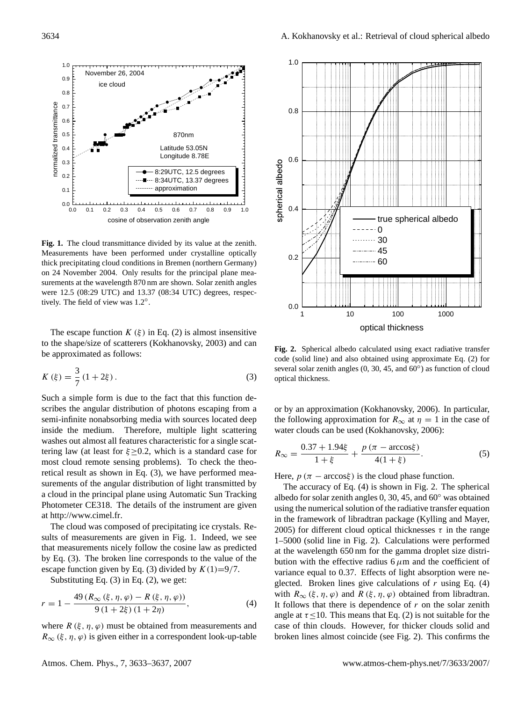

**Fig. 1.** The cloud transmittance divided by its value at the zenith. Measurements have been performed under crystalline optically thick precipitating cloud conditions in Bremen (northern Germany) on 24 November 2004. Only results for the principal plane measurements at the wavelength 870 nm are shown. Solar zenith angles were 12.5 (08:29 UTC) and 13.37 (08:34 UTC) degrees, respectively. The field of view was 1.2◦ .

The escape function  $K(\xi)$  in Eq. (2) is almost insensitive to the shape/size of scatterers (Kokhanovsky, 2003) and can be approximated as follows:

$$
K(\xi) = \frac{3}{7} (1 + 2\xi).
$$
 (3)

Such a simple form is due to the fact that this function describes the angular distribution of photons escaping from a semi-infinite nonabsorbing media with sources located deep inside the medium. Therefore, multiple light scattering washes out almost all features characteristic for a single scattering law (at least for  $\xi \geq 0.2$ , which is a standard case for most cloud remote sensing problems). To check the theoretical result as shown in Eq. (3), we have performed measurements of the angular distribution of light transmitted by a cloud in the principal plane using Automatic Sun Tracking Photometer CE318. The details of the instrument are given at [http://www.cimel.fr.](http://www.cimel.fr)

The cloud was composed of precipitating ice crystals. Results of measurements are given in Fig. 1. Indeed, we see that measurements nicely follow the cosine law as predicted by Eq. (3). The broken line corresponds to the value of the escape function given by Eq. (3) divided by  $K(1)=9/7$ .

Substituting Eq. (3) in Eq. (2), we get:

$$
r = 1 - \frac{49 (R_{\infty}(\xi, \eta, \varphi) - R(\xi, \eta, \varphi))}{9 (1 + 2\xi) (1 + 2\eta)},
$$
\n(4)

where  $R(\xi, \eta, \varphi)$  must be obtained from measurements and  $R_{\infty}$  (ξ, η,  $\varphi$ ) is given either in a correspondent look-up-table



**Fig. 2.** Spherical albedo calculated using exact radiative transfer code (solid line) and also obtained using approximate Eq. (2) for several solar zenith angles  $(0, 30, 45,$  and  $60°)$  as function of cloud optical thickness.

or by an approximation (Kokhanovsky, 2006). In particular, the following approximation for  $R_{\infty}$  at  $\eta = 1$  in the case of water clouds can be used (Kokhanovsky, 2006):

$$
R_{\infty} = \frac{0.37 + 1.94\xi}{1 + \xi} + \frac{p(\pi - \arccos\xi)}{4(1 + \xi)}.
$$
 (5)

Here,  $p(\pi - \arccos \xi)$  is the cloud phase function.

The accuracy of Eq. (4) is shown in Fig. 2. The spherical albedo for solar zenith angles 0, 30, 45, and 60◦ was obtained using the numerical solution of the radiative transfer equation in the framework of libradtran package (Kylling and Mayer, 2005) for different cloud optical thicknesses  $\tau$  in the range 1–5000 (solid line in Fig. 2). Calculations were performed at the wavelength 650 nm for the gamma droplet size distribution with the effective radius  $6 \mu m$  and the coefficient of variance equal to 0.37. Effects of light absorption were neglected. Broken lines give calculations of  $r$  using Eq. (4) with  $R_{\infty}(\xi, \eta, \varphi)$  and  $R(\xi, \eta, \varphi)$  obtained from libradtran. It follows that there is dependence of  $r$  on the solar zenith angle at  $\tau \leq 10$ . This means that Eq. (2) is not suitable for the case of thin clouds. However, for thicker clouds solid and broken lines almost coincide (see Fig. 2). This confirms the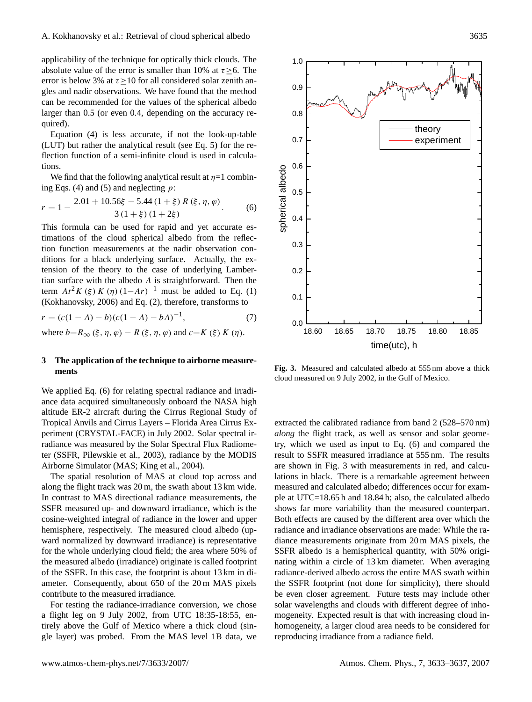applicability of the technique for optically thick clouds. The absolute value of the error is smaller than 10% at  $\tau > 6$ . The error is below 3% at  $\tau \ge 10$  for all considered solar zenith angles and nadir observations. We have found that the method can be recommended for the values of the spherical albedo larger than 0.5 (or even 0.4, depending on the accuracy required).

Equation (4) is less accurate, if not the look-up-table (LUT) but rather the analytical result (see Eq. 5) for the reflection function of a semi-infinite cloud is used in calculations.

We find that the following analytical result at  $\eta=1$  combining Eqs. (4) and (5) and neglecting  $p$ :

$$
r = 1 - \frac{2.01 + 10.56\xi - 5.44\left(1 + \xi\right)R\left(\xi, \eta, \varphi\right)}{3\left(1 + \xi\right)\left(1 + 2\xi\right)}.
$$
 (6)

This formula can be used for rapid and yet accurate estimations of the cloud spherical albedo from the reflection function measurements at the nadir observation conditions for a black underlying surface. Actually, the extension of the theory to the case of underlying Lambertian surface with the albedo A is straightforward. Then the term  $At^2 K(\xi) K(\eta) (1-Ar)^{-1}$  must be added to Eq. (1) (Kokhanovsky, 2006) and Eq. (2), therefore, transforms to

$$
r = (c(1 - A) - b)(c(1 - A) - bA)^{-1},
$$
\n(7)

where  $b=R_{\infty}(\xi, \eta, \varphi) - R(\xi, \eta, \varphi)$  and  $c=K(\xi) K(\eta)$ .

## **3 The application of the technique to airborne measurements**

We applied Eq. (6) for relating spectral radiance and irradiance data acquired simultaneously onboard the NASA high altitude ER-2 aircraft during the Cirrus Regional Study of Tropical Anvils and Cirrus Layers – Florida Area Cirrus Experiment (CRYSTAL-FACE) in July 2002. Solar spectral irradiance was measured by the Solar Spectral Flux Radiometer (SSFR, Pilewskie et al., 2003), radiance by the MODIS Airborne Simulator (MAS; King et al., 2004).

The spatial resolution of MAS at cloud top across and along the flight track was 20 m, the swath about 13 km wide. In contrast to MAS directional radiance measurements, the SSFR measured up- and downward irradiance, which is the cosine-weighted integral of radiance in the lower and upper hemisphere, respectively. The measured cloud albedo (upward normalized by downward irradiance) is representative for the whole underlying cloud field; the area where 50% of the measured albedo (irradiance) originate is called footprint of the SSFR. In this case, the footprint is about 13 km in diameter. Consequently, about 650 of the 20 m MAS pixels contribute to the measured irradiance.

For testing the radiance-irradiance conversion, we chose a flight leg on 9 July 2002, from UTC 18:35-18:55, entirely above the Gulf of Mexico where a thick cloud (single layer) was probed. From the MAS level 1B data, we



**Fig. 3.** Measured and calculated albedo at 555 nm above a thick cloud measured on 9 July 2002, in the Gulf of Mexico.

extracted the calibrated radiance from band 2 (528–570 nm) *along* the flight track, as well as sensor and solar geometry, which we used as input to Eq. (6) and compared the result to SSFR measured irradiance at 555 nm. The results are shown in Fig. 3 with measurements in red, and calculations in black. There is a remarkable agreement between measured and calculated albedo; differences occur for example at UTC=18.65 h and 18.84 h; also, the calculated albedo shows far more variability than the measured counterpart. Both effects are caused by the different area over which the radiance and irradiance observations are made: While the radiance measurements originate from 20 m MAS pixels, the SSFR albedo is a hemispherical quantity, with 50% originating within a circle of 13 km diameter. When averaging radiance-derived albedo across the entire MAS swath within the SSFR footprint (not done for simplicity), there should be even closer agreement. Future tests may include other solar wavelengths and clouds with different degree of inhomogeneity. Expected result is that with increasing cloud inhomogeneity, a larger cloud area needs to be considered for reproducing irradiance from a radiance field.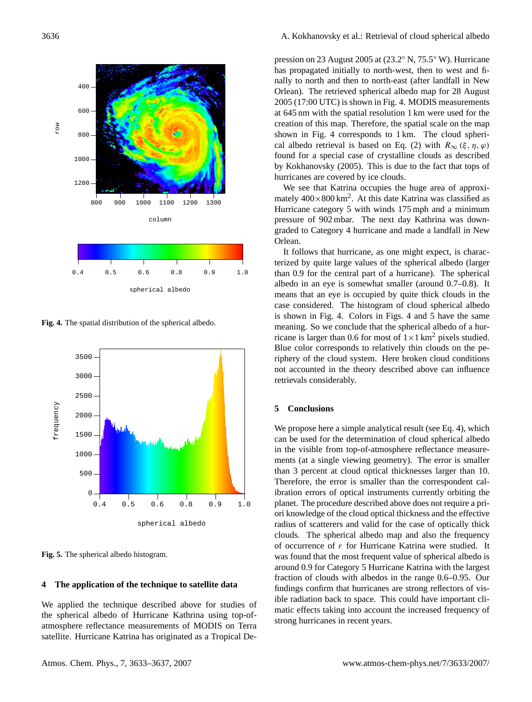

**Fig. 4.** The spatial distribution of the spherical albedo.



**Fig. 5.** The spherical albedo histogram.

#### **4 The application of the technique to satellite data**

We applied the technique described above for studies of the spherical albedo of Hurricane Kathrina using top-ofatmosphere reflectance measurements of MODIS on Terra satellite. Hurricane Katrina has originated as a Tropical Depression on 23 August 2005 at (23.2◦ N, 75.5◦ W). Hurricane has propagated initially to north-west, then to west and finally to north and then to north-east (after landfall in New Orlean). The retrieved spherical albedo map for 28 August 2005 (17:00 UTC) is shown in Fig. 4. MODIS measurements at 645 nm with the spatial resolution 1 km were used for the creation of this map. Therefore, the spatial scale on the map shown in Fig. 4 corresponds to 1 km. The cloud spherical albedo retrieval is based on Eq. (2) with  $R_{\infty}(\xi, \eta, \varphi)$ found for a special case of crystalline clouds as described by Kokhanovsky (2005). This is due to the fact that tops of hurricanes are covered by ice clouds.

We see that Katrina occupies the huge area of approximately  $400 \times 800$  km<sup>2</sup>. At this date Katrina was classified as Hurricane category 5 with winds 175 mph and a minimum pressure of 902 mbar. The next day Kathrina was downgraded to Category 4 hurricane and made a landfall in New Orlean.

It follows that hurricane, as one might expect, is characterized by quite large values of the spherical albedo (larger than 0.9 for the central part of a hurricane). The spherical albedo in an eye is somewhat smaller (around 0.7–0.8). It means that an eye is occupied by quite thick clouds in the case considered. The histogram of cloud spherical albedo is shown in Fig. 4. Colors in Figs. 4 and 5 have the same meaning. So we conclude that the spherical albedo of a hurricane is larger than 0.6 for most of  $1 \times 1$  km<sup>2</sup> pixels studied. Blue color corresponds to relatively thin clouds on the periphery of the cloud system. Here broken cloud conditions not accounted in the theory described above can influence retrievals considerably.

#### **5 Conclusions**

We propose here a simple analytical result (see Eq. 4), which can be used for the determination of cloud spherical albedo in the visible from top-of-atmosphere reflectance measurements (at a single viewing geometry). The error is smaller than 3 percent at cloud optical thicknesses larger than 10. Therefore, the error is smaller than the correspondent calibration errors of optical instruments currently orbiting the planet. The procedure described above does not require a priori knowledge of the cloud optical thickness and the effective radius of scatterers and valid for the case of optically thick clouds. The spherical albedo map and also the frequency of occurrence of r for Hurricane Katrina were studied. It was found that the most frequent value of spherical albedo is around 0.9 for Category 5 Hurricane Katrina with the largest fraction of clouds with albedos in the range 0.6–0.95. Our findings confirm that hurricanes are strong reflectors of visible radiation back to space. This could have important climatic effects taking into account the increased frequency of strong hurricanes in recent years.